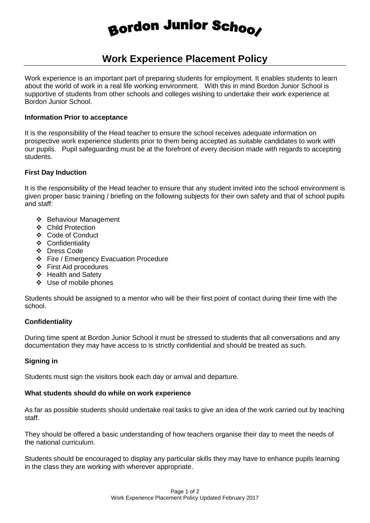# Bordon Junior Schoo

## **Work Experience Placement Policy**

Work experience is an important part of preparing students for employment. It enables students to learn about the world of work in a real life working environment. With this in mind Bordon Junior School is supportive of students from other schools and colleges wishing to undertake their work experience at Bordon Junior School.

#### **Information Prior to acceptance**

It is the responsibility of the Head teacher to ensure the school receives adequate information on prospective work experience students prior to them being accepted as suitable candidates to work with our pupils. Pupil safeguarding must be at the forefront of every decision made with regards to accepting students.

#### **First Day Induction**

It is the responsibility of the Head teacher to ensure that any student invited into the school environment is given proper basic training / briefing on the following subjects for their own safety and that of school pupils and staff:

- Behaviour Management
- Child Protection
- Code of Conduct
- Confidentiality
- ❖ Dress Code
- Fire / Emergency Evacuation Procedure
- First Aid procedures
- ❖ Health and Safety
- ❖ Use of mobile phones

Students should be assigned to a mentor who will be their first point of contact during their time with the school.

### **Confidentiality**

During time spent at Bordon Junior School it must be stressed to students that all conversations and any documentation they may have access to is strictly confidential and should be treated as such.

#### **Signing in**

Students must sign the visitors book each day or arrival and departure.

#### **What students should do while on work experience**

As far as possible students should undertake real tasks to give an idea of the work carried out by teaching staff.

They should be offered a basic understanding of how teachers organise their day to meet the needs of the national curriculum.

Students should be encouraged to display any particular skills they may have to enhance pupils learning in the class they are working with wherever appropriate.